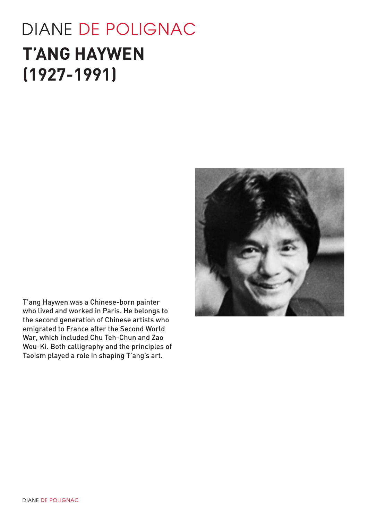# **DIANE DE POLIGNAC T'ANG HAYWEN (1927-1991)**



T'ang Haywen was a Chinese-born painter who lived and worked in Paris. He belongs to the second generation of Chinese artists who emigrated to France after the Second World War, which included Chu Teh-Chun and Zao Wou-Ki. Both calligraphy and the principles of Taoism played a role in shaping T'ang's art.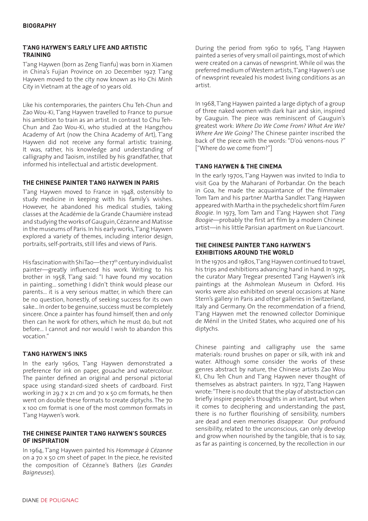#### **T'ANG HAYWEN'S EARLY LIFE AND ARTISTIC TRAINING**

T'ang Haywen (born as Zeng Tianfu) was born in Xiamen in China's Fujian Province on 20 December 1927. T'ang Haywen moved to the city now known as Ho Chi Minh City in Vietnam at the age of 10 years old.

Like his contemporaries, the painters Chu Teh-Chun and Zao Wou-Ki, T'ang Haywen travelled to France to pursue his ambition to train as an artist. In contrast to Chu Teh-Chun and Zao Wou-Ki, who studied at the Hangzhou Academy of Art (now the China Academy of Art), T'ang Haywen did not receive any formal artistic training. It was, rather, his knowledge and understanding of calligraphy and Taoism, instilled by his grandfather, that informed his intellectual and artistic development.

## **THE CHINESE PAINTER T'ANG HAYWEN IN PARIS**

T'ang Haywen moved to France in 1948, ostensibly to study medicine in keeping with his family's wishes. However, he abandoned his medical studies, taking classes at the Académie de la Grande Chaumière instead and studying the works of Gauguin, Cézanne and Matisse in the museums of Paris. In his early works, T'ang Haywen explored a variety of themes, including interior design, portraits, self-portraits, still lifes and views of Paris.

His fascination with Shi Tao—the 17<sup>th</sup> century individualist painter—greatly influenced his work. Writing to his brother in 1958, T'ang said: "I have found my vocation in painting... something I didn't think would please our parents... it is a very serious matter, in which there can be no question, honestly, of seeking success for its own sake... In order to be genuine, success must be completely sincere. Once a painter has found himself, then and only then can he work for others, which he must do, but not before... I cannot and nor would I wish to abandon this vocation."

#### **T'ANG HAYWEN'S INKS**

In the early 1960s, T'ang Haywen demonstrated a preference for ink on paper, gouache and watercolour. The painter defined an original and personal pictorial space using standard-sized sheets of cardboard. First working in 29.7 x 21 cm and 70 x 50 cm formats, he then went on double these formats to create diptychs. The 70 x 100 cm format is one of the most common formats in T'ang Haywen's work.

#### **THE CHINESE PAINTER T'ANG HAYWEN'S SOURCES OF INSPIRATION**

In 1964, T'ang Haywen painted his *Hommage à Cézanne*  on a 70 x 50 cm sheet of paper. In the piece, he revisited the composition of Cézanne's Bathers (*Les Grandes Baigneuses*).

During the period from 1960 to 1965, T'ang Haywen painted a series of very small oil paintings, most of which were created on a canvas of newsprint. While oil was the preferred medium of Western artists, T'ang Haywen's use of newsprint revealed his modest living conditions as an artist.

In 1968, T'ang Haywen painted a large diptych of a group of three naked women with dark hair and skin, inspired by Gauguin. The piece was reminiscent of Gauguin's greatest work: *Where Do We Come From? What Are We? Where Are We Going?* The Chinese painter inscribed the back of the piece with the words: "D'où venons-nous ?" ["Where do we come from?"]

# **T'ANG HAYWEN & THE CINEMA**

In the early 1970s, T'ang Haywen was invited to India to visit Goa by the Maharani of Porbandar. On the beach in Goa, he made the acquaintance of the filmmaker Tom Tam and his partner Martha Sandler. T'ang Haywen appeared with Martha in the psychedelic short film *Furen Boogie*. In 1973, Tom Tam and T'ang Haywen shot *T'ang Boogie*—probably the first art film by a modern Chinese artist—in his little Parisian apartment on Rue Liancourt.

#### **THE CHINESE PAINTER T'ANG HAYWEN'S EXHIBITIONS AROUND THE WORLD**

In the 1970s and 1980s, T'ang Haywen continued to travel, his trips and exhibitions advancing hand in hand. In 1975, the curator Mary Tregear presented T'ang Haywen's ink paintings at the Ashmolean Museum in Oxford. His works were also exhibited on several occasions at Nane Stern's gallery in Paris and other galleries in Switzerland, Italy and Germany. On the recommendation of a friend, T'ang Haywen met the renowned collector Dominique de Ménil in the United States, who acquired one of his diptychs.

Chinese painting and calligraphy use the same materials: round brushes on paper or silk, with ink and water. Although some consider the works of these genres abstract by nature, the Chinese artists Zao Wou KI, Chu Teh Chun and T'ang Haywen never thought of themselves as abstract painters. In 1972, T'ang Haywen wrote: "There is no doubt that the play of abstraction can briefly inspire people's thoughts in an instant, but when it comes to deciphering and understanding the past, there is no further flourishing of sensibility, numbers are dead and even memories disappear. Our profound sensibility, related to the unconscious, can only develop and grow when nourished by the tangible, that is to say, as far as painting is concerned, by the recollection in our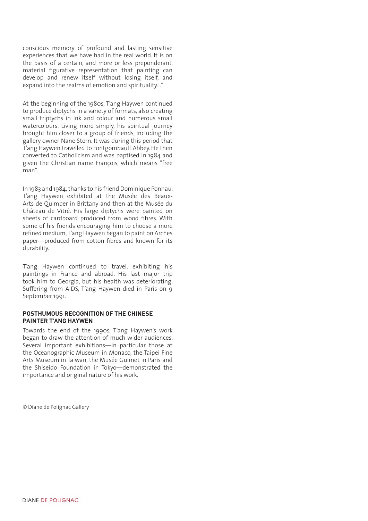conscious memory of profound and lasting sensitive experiences that we have had in the real world. It is on the basis of a certain, and more or less preponderant, material figurative representation that painting can develop and renew itself without losing itself, and expand into the realms of emotion and spirituality…"

At the beginning of the 1980s, T'ang Haywen continued to produce diptychs in a variety of formats, also creating small triptychs in ink and colour and numerous small watercolours. Living more simply, his spiritual journey brought him closer to a group of friends, including the gallery owner Nane Stern. It was during this period that T'ang Haywen travelled to Fontgombault Abbey. He then converted to Catholicism and was baptised in 1984 and given the Christian name François, which means "free man".

In 1983 and 1984, thanks to his friend Dominique Ponnau, T'ang Haywen exhibited at the Musée des Beaux-Arts de Quimper in Brittany and then at the Musée du Château de Vitré. His large diptychs were painted on sheets of cardboard produced from wood fibres. With some of his friends encouraging him to choose a more refined medium, T'ang Haywen began to paint on Arches paper—produced from cotton fibres and known for its durability.

T'ang Haywen continued to travel, exhibiting his paintings in France and abroad. His last major trip took him to Georgia, but his health was deteriorating. Suffering from AIDS, T'ang Haywen died in Paris on 9 September 1991.

#### **POSTHUMOUS RECOGNITION OF THE CHINESE PAINTER T'ANG HAYWEN**

Towards the end of the 1990s, T'ang Haywen's work began to draw the attention of much wider audiences. Several important exhibitions—in particular those at the Oceanographic Museum in Monaco, the Taipei Fine Arts Museum in Taiwan, the Musée Guimet in Paris and the Shiseido Foundation in Tokyo—demonstrated the importance and original nature of his work.

© Diane de Polignac Gallery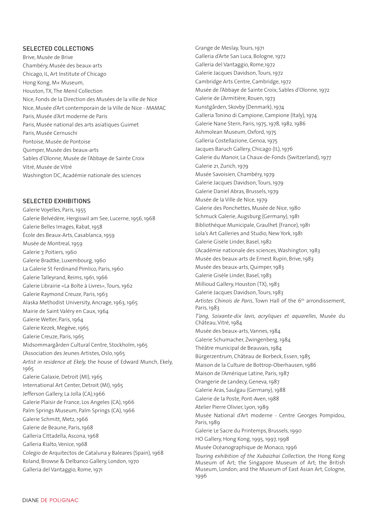#### SELECTED COLLECTIONS

Brive, Musée de Brive Chambéry, Musée des beaux-arts Chicago, IL, Art Institute of Chicago Hong Kong, M+ Museum, Houston, TX, The Menil Collection Nice, Fonds de la Direction des Musées de la ville de Nice Nice, Musée d'Art contemporain de la Ville de Nice - MAMAC Paris, Musée d'Art moderne de Paris Paris, Musée national des arts asiatiques Guimet Paris, Musée Cernuschi Pontoise, Musée de Pontoise Quimper, Musée des beaux-arts Sables d'Olonne, Musée de l'Abbaye de Sainte Croix Vitré, Musée de Vitré Washington DC, Académie nationale des sciences

#### SELECTED EXHIBITIONS

Galerie Voyelles, Paris, 1955 Galerie Belvédère, Hergiswil am See, Lucerne, 1956, 1968 Galerie Belles Images, Rabat, 1958 École des Beaux-Arts, Casablanca, 1959 Musée de Montreal, 1959 Galerie 7, Poitiers, 1960 Galerie Bradtke, Luxembourg, 1960 La Galerie St Ferdinand Pimlico, Paris, 1960 Galerie Talleyrand, Reims, 1961, 1966 Galerie Librairie «La Boîte à Livres», Tours, 1962 Galerie Raymond Creuze, Paris, 1963 Alaska Methodist University, Ancrage, 1963, 1965 Mairie de Saint Valéry en Caux, 1964 Galerie Welter, Paris, 1964 Galerie Kezek, Megève, 1965 Galerie Creuze, Paris, 1965 Midsommargården Cultural Centre, Stockholm, 1965 L'Association des Jeunes Artistes, Oslo, 1965 *Artist in residence at Ekely,* the house of Edward Munch, Ekely, 1965 Galerie Galaxie, Detroit (MI), 1965 International Art Center, Detroit (MI), 1965 Jefferson Gallery, La Jolla (CA),1966 Galerie Plaisir de France, Los Angeles (CA), 1966 Palm Springs Museum, Palm Springs (CA), 1966 Galerie Schmitt, Metz, 1966 Galerie de Beaune, Paris, 1968 Galleria Cittadella, Ascona, 1968 Galleria Rialto, Venice, 1968 Colegio de Arquitectos de Cataluna y Baleares (Spain), 1968 Roland, Browse & Delbanco Gallery, London, 1970 Galleria del Vantaggio, Rome, 1971

Grange de Meslay, Tours, 1971 Galleria d'Arte San Luca, Bologne, 1972 Galleria del Vantaggio, Rome,1972 Galerie Jacques Davidson, Tours, 1972 Cambridge Arts Centre, Cambridge, 1972 Musée de l'Abbaye de Sainte Croix, Sables d'Olonne, 1972 Galerie de L'Armitière, Rouen, 1973 Kunstgården, Skovby (Denmark), 1974 Galleria Tonino di Campione, Campione (Italy), 1974 Galerie Nane Stern, Paris, 1975, 1978, 1982, 1986 Ashmolean Museum, Oxford, 1975 Galleria Costellazione, Genoa, 1975 Jacques Baruch Gallery, Chicago (IL), 1976 Galerie du Manoir, La Chaux-de-Fonds (Switzerland), 1977 Galerie 21, Zurich, 1979 Musée Savoisien, Chambéry, 1979 Galerie Jacques Davidson, Tours, 1979 Galerie Daniel Abras, Brussels, 1979 Musée de la Ville de Nice, 1979 Galerie des Ponchettes, Musée de Nice, 1980 Schmuck Galerie, Augsburg (Germany), 1981 Bibliothèque Municipale, Graulhet (France), 1981 Lola's Art Galleries and Studio, New York, 1981 Galerie Gisèle Linder, Basel, 1982 L'Académie nationale des sciences, Washington, 1983 Musée des beaux-arts de Ernest Rupin, Brive, 1983 Musée des beaux-arts, Quimper, 1983 Galerie Gisèle Linder, Basel, 1983 Millioud Gallery, Houston (TX), 1983 Galerie Jacques Davidson, Tours, 1983 Artistes Chinois de Paris, Town Hall of the 6<sup>th</sup> arrondissement, Paris, 1983 *T'ang, Soixante-dix lavis, acryliques et aquarelles*, Musée du Château, Vitré, 1984 Musée des beaux-arts, Vannes, 1984 Galerie Schumacher, Zwingenberg, 1984 Théâtre municipal de Beauvais, 1984 Bürgerzentrum, Château de Borbeck, Essen, 1985 Maison de la Culture de Bottrop-Oberhausen, 1986 Maison de l'Amérique Latine, Paris, 1987 Orangerie de Landecy, Geneva, 1987 Galerie Aras, Saulgau (Germany), 1988 Galerie de la Poste, Pont-Aven, 1988 Atelier Pierre Olivier, Lyon, 1989 Musée National d'Art moderne - Centre Georges Pompidou, Paris, 1989 Galerie Le Sacre du Printemps, Brussels, 1990 HO Gallery, Hong Kong, 1995, 1997, 1998 Musée Océanographique de Monaco, 1996 *Touring exhibition of the Xubaizhai Collection,* the Hong Kong Museum of Art; the Singapore Museum of Art; the British Museum, London; and the Museum of East Asian Art, Cologne, 1996